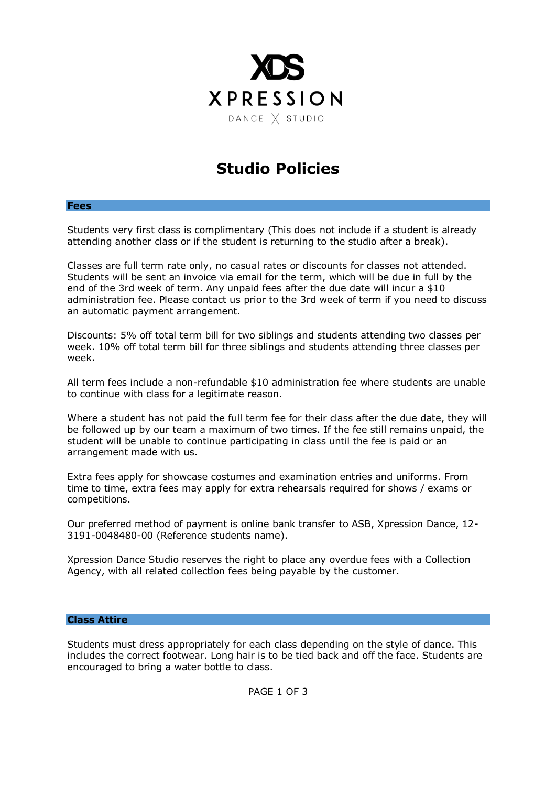

## **Studio Policies**

## **Fees**

Students very first class is complimentary (This does not include if a student is already attending another class or if the student is returning to the studio after a break).

Classes are full term rate only, no casual rates or discounts for classes not attended. Students will be sent an invoice via email for the term, which will be due in full by the end of the 3rd week of term. Any unpaid fees after the due date will incur a \$10 administration fee. Please contact us prior to the 3rd week of term if you need to discuss an automatic payment arrangement.

Discounts: 5% off total term bill for two siblings and students attending two classes per week. 10% off total term bill for three siblings and students attending three classes per week.

All term fees include a non-refundable \$10 administration fee where students are unable to continue with class for a legitimate reason.

Where a student has not paid the full term fee for their class after the due date, they will be followed up by our team a maximum of two times. If the fee still remains unpaid, the student will be unable to continue participating in class until the fee is paid or an arrangement made with us.

Extra fees apply for showcase costumes and examination entries and uniforms. From time to time, extra fees may apply for extra rehearsals required for shows / exams or competitions.

Our preferred method of payment is online bank transfer to ASB, Xpression Dance, 12- 3191-0048480-00 (Reference students name).

Xpression Dance Studio reserves the right to place any overdue fees with a Collection Agency, with all related collection fees being payable by the customer.

## **Class Attire**

Students must dress appropriately for each class depending on the style of dance. This includes the correct footwear. Long hair is to be tied back and off the face. Students are encouraged to bring a water bottle to class.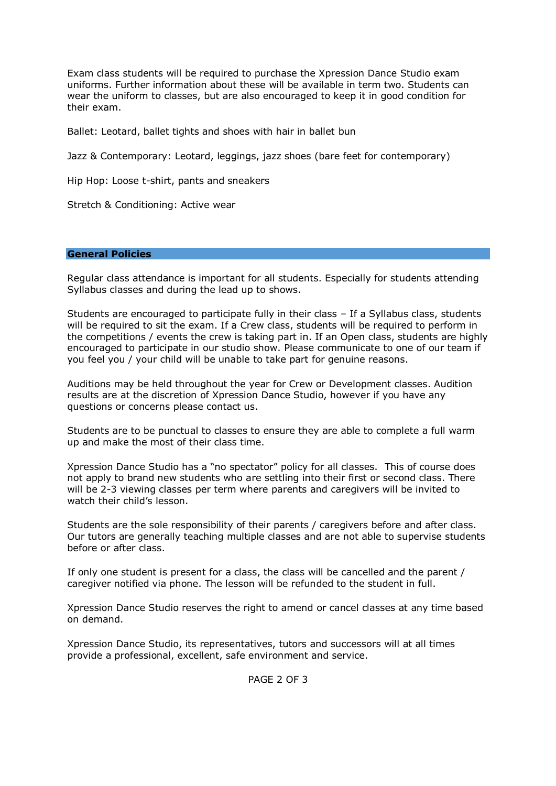Exam class students will be required to purchase the Xpression Dance Studio exam uniforms. Further information about these will be available in term two. Students can wear the uniform to classes, but are also encouraged to keep it in good condition for their exam.

Ballet: Leotard, ballet tights and shoes with hair in ballet bun

Jazz & Contemporary: Leotard, leggings, jazz shoes (bare feet for contemporary)

Hip Hop: Loose t-shirt, pants and sneakers

Stretch & Conditioning: Active wear

## **General Policies**

Regular class attendance is important for all students. Especially for students attending Syllabus classes and during the lead up to shows.

Students are encouraged to participate fully in their class – If a Syllabus class, students will be required to sit the exam. If a Crew class, students will be required to perform in the competitions / events the crew is taking part in. If an Open class, students are highly encouraged to participate in our studio show. Please communicate to one of our team if you feel you / your child will be unable to take part for genuine reasons.

Auditions may be held throughout the year for Crew or Development classes. Audition results are at the discretion of Xpression Dance Studio, however if you have any questions or concerns please contact us.

Students are to be punctual to classes to ensure they are able to complete a full warm up and make the most of their class time.

Xpression Dance Studio has a "no spectator" policy for all classes. This of course does not apply to brand new students who are settling into their first or second class. There will be 2-3 viewing classes per term where parents and caregivers will be invited to watch their child's lesson.

Students are the sole responsibility of their parents / caregivers before and after class. Our tutors are generally teaching multiple classes and are not able to supervise students before or after class.

If only one student is present for a class, the class will be cancelled and the parent / caregiver notified via phone. The lesson will be refunded to the student in full.

Xpression Dance Studio reserves the right to amend or cancel classes at any time based on demand.

Xpression Dance Studio, its representatives, tutors and successors will at all times provide a professional, excellent, safe environment and service.

PAGE 2 OF 3